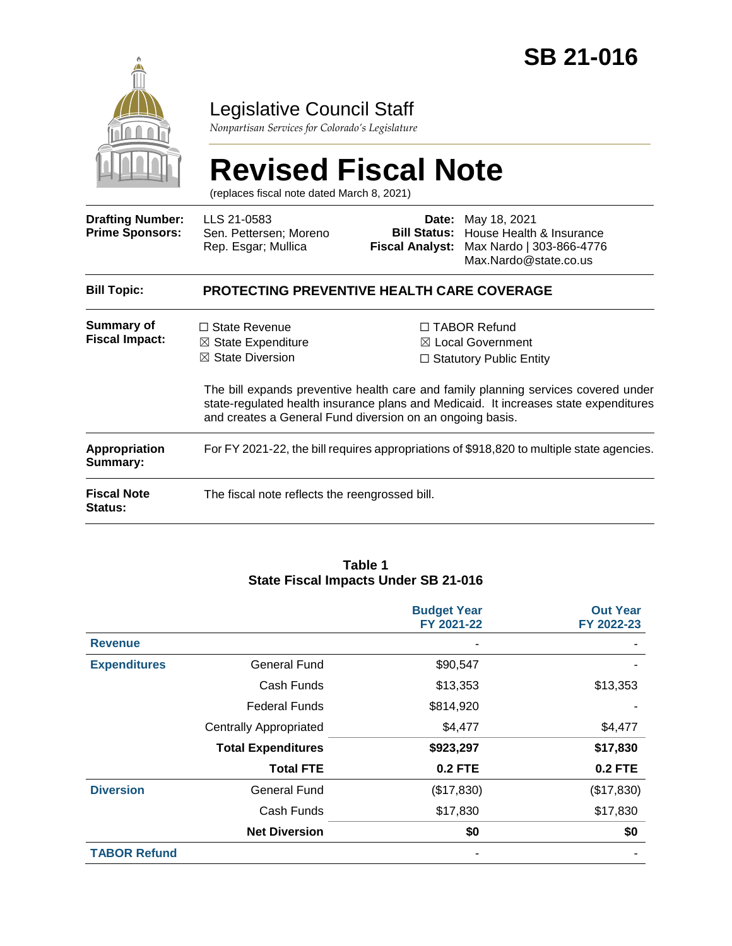

## Legislative Council Staff

*Nonpartisan Services for Colorado's Legislature*

# **Revised Fiscal Note**

(replaces fiscal note dated March 8, 2021)

| <b>Drafting Number:</b><br><b>Prime Sponsors:</b> | LLS 21-0583<br>Sen. Pettersen; Moreno<br>Rep. Esgar; Mullica                                                                                      | <b>Fiscal Analyst:</b> | <b>Date:</b> May 18, 2021<br>Bill Status: House Health & Insurance<br>Max Nardo   303-866-4776<br>Max.Nardo@state.co.us                                                                                                                                             |  |  |  |
|---------------------------------------------------|---------------------------------------------------------------------------------------------------------------------------------------------------|------------------------|---------------------------------------------------------------------------------------------------------------------------------------------------------------------------------------------------------------------------------------------------------------------|--|--|--|
| <b>Bill Topic:</b>                                | <b>PROTECTING PREVENTIVE HEALTH CARE COVERAGE</b>                                                                                                 |                        |                                                                                                                                                                                                                                                                     |  |  |  |
| Summary of<br><b>Fiscal Impact:</b>               | $\Box$ State Revenue<br>$\boxtimes$ State Expenditure<br>$\boxtimes$ State Diversion<br>and creates a General Fund diversion on an ongoing basis. |                        | $\Box$ TABOR Refund<br>$\boxtimes$ Local Government<br>$\Box$ Statutory Public Entity<br>The bill expands preventive health care and family planning services covered under<br>state-regulated health insurance plans and Medicaid. It increases state expenditures |  |  |  |
| <b>Appropriation</b><br>Summary:                  | For FY 2021-22, the bill requires appropriations of \$918,820 to multiple state agencies.                                                         |                        |                                                                                                                                                                                                                                                                     |  |  |  |
| <b>Fiscal Note</b><br><b>Status:</b>              | The fiscal note reflects the reengrossed bill.                                                                                                    |                        |                                                                                                                                                                                                                                                                     |  |  |  |

#### **Table 1 State Fiscal Impacts Under SB 21-016**

|                     |                               | <b>Budget Year</b><br>FY 2021-22 | <b>Out Year</b><br>FY 2022-23 |
|---------------------|-------------------------------|----------------------------------|-------------------------------|
| <b>Revenue</b>      |                               |                                  |                               |
| <b>Expenditures</b> | <b>General Fund</b>           | \$90,547                         |                               |
|                     | Cash Funds                    | \$13,353                         | \$13,353                      |
|                     | <b>Federal Funds</b>          | \$814,920                        |                               |
|                     | <b>Centrally Appropriated</b> | \$4,477                          | \$4,477                       |
|                     | <b>Total Expenditures</b>     | \$923,297                        | \$17,830                      |
|                     | <b>Total FTE</b>              | <b>0.2 FTE</b>                   | <b>0.2 FTE</b>                |
| <b>Diversion</b>    | <b>General Fund</b>           | (\$17,830)                       | (\$17,830)                    |
|                     | Cash Funds                    | \$17,830                         | \$17,830                      |
|                     | <b>Net Diversion</b>          | \$0                              | \$0                           |
| <b>TABOR Refund</b> |                               |                                  |                               |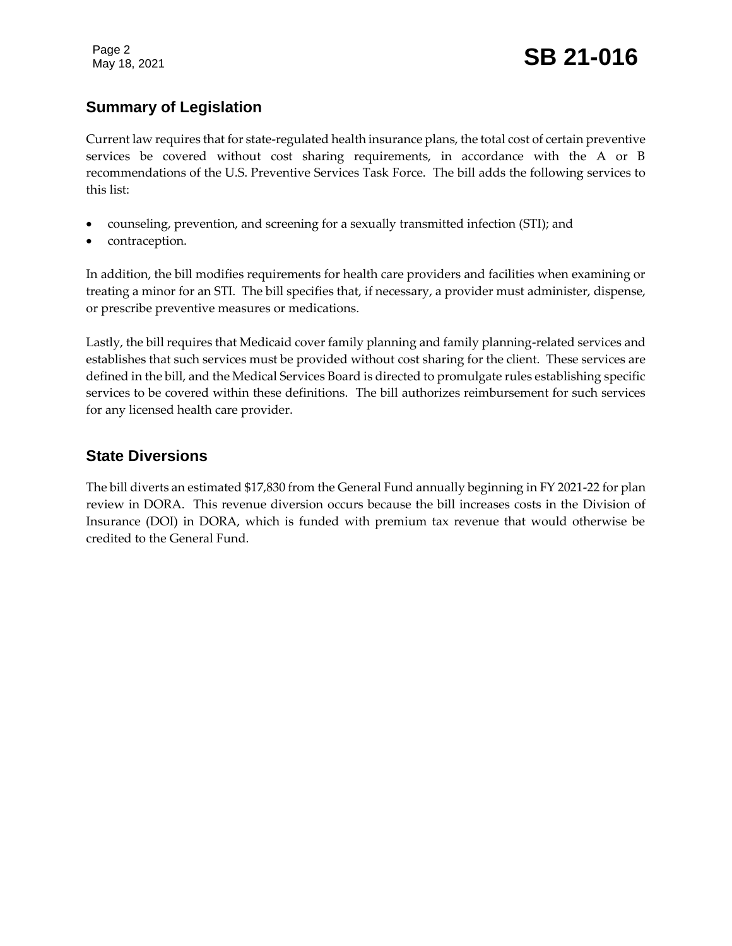Page 2

## **Summary of Legislation**

Current law requires that for state-regulated health insurance plans, the total cost of certain preventive services be covered without cost sharing requirements, in accordance with the A or B recommendations of the U.S. Preventive Services Task Force. The bill adds the following services to this list:

- counseling, prevention, and screening for a sexually transmitted infection (STI); and
- contraception.

In addition, the bill modifies requirements for health care providers and facilities when examining or treating a minor for an STI. The bill specifies that, if necessary, a provider must administer, dispense, or prescribe preventive measures or medications.

Lastly, the bill requires that Medicaid cover family planning and family planning-related services and establishes that such services must be provided without cost sharing for the client. These services are defined in the bill, and the Medical Services Board is directed to promulgate rules establishing specific services to be covered within these definitions. The bill authorizes reimbursement for such services for any licensed health care provider.

## **State Diversions**

The bill diverts an estimated \$17,830 from the General Fund annually beginning in FY 2021-22 for plan review in DORA. This revenue diversion occurs because the bill increases costs in the Division of Insurance (DOI) in DORA, which is funded with premium tax revenue that would otherwise be credited to the General Fund.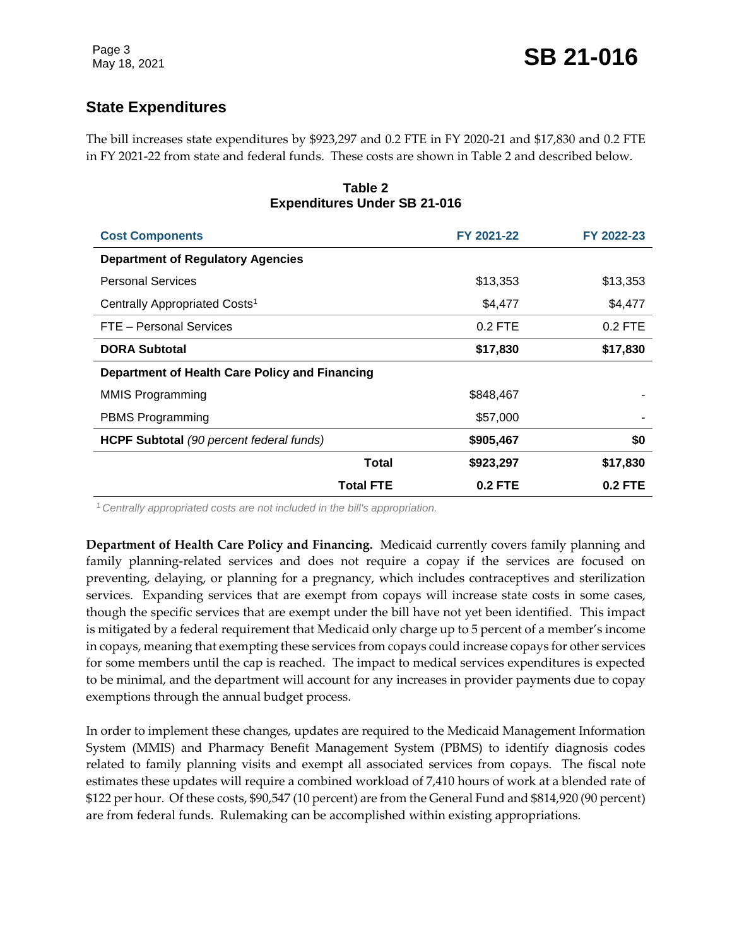## **State Expenditures**

The bill increases state expenditures by \$923,297 and 0.2 FTE in FY 2020-21 and \$17,830 and 0.2 FTE in FY 2021-22 from state and federal funds. These costs are shown in Table 2 and described below.

| <b>Cost Components</b>                          |                  | FY 2021-22 | FY 2022-23 |
|-------------------------------------------------|------------------|------------|------------|
| <b>Department of Regulatory Agencies</b>        |                  |            |            |
| <b>Personal Services</b>                        |                  | \$13,353   | \$13,353   |
| Centrally Appropriated Costs <sup>1</sup>       |                  | \$4,477    | \$4,477    |
| FTE - Personal Services                         |                  | $0.2$ FTE  | $0.2$ FTE  |
| <b>DORA Subtotal</b>                            |                  | \$17,830   | \$17,830   |
| Department of Health Care Policy and Financing  |                  |            |            |
| MMIS Programming                                |                  | \$848,467  |            |
| <b>PBMS Programming</b>                         |                  | \$57,000   |            |
| <b>HCPF Subtotal</b> (90 percent federal funds) |                  | \$905,467  | \$0        |
|                                                 | Total            | \$923,297  | \$17,830   |
|                                                 | <b>Total FTE</b> | $0.2$ FTE  | $0.2$ FTE  |

#### **Table 2 Expenditures Under SB 21-016**

<sup>1</sup>*Centrally appropriated costs are not included in the bill's appropriation.*

**Department of Health Care Policy and Financing.** Medicaid currently covers family planning and family planning-related services and does not require a copay if the services are focused on preventing, delaying, or planning for a pregnancy, which includes contraceptives and sterilization services. Expanding services that are exempt from copays will increase state costs in some cases, though the specific services that are exempt under the bill have not yet been identified. This impact is mitigated by a federal requirement that Medicaid only charge up to 5 percent of a member's income in copays, meaning that exempting these services from copays could increase copays for other services for some members until the cap is reached. The impact to medical services expenditures is expected to be minimal, and the department will account for any increases in provider payments due to copay exemptions through the annual budget process.

In order to implement these changes, updates are required to the Medicaid Management Information System (MMIS) and Pharmacy Benefit Management System (PBMS) to identify diagnosis codes related to family planning visits and exempt all associated services from copays. The fiscal note estimates these updates will require a combined workload of 7,410 hours of work at a blended rate of \$122 per hour. Of these costs, \$90,547 (10 percent) are from the General Fund and \$814,920 (90 percent) are from federal funds. Rulemaking can be accomplished within existing appropriations.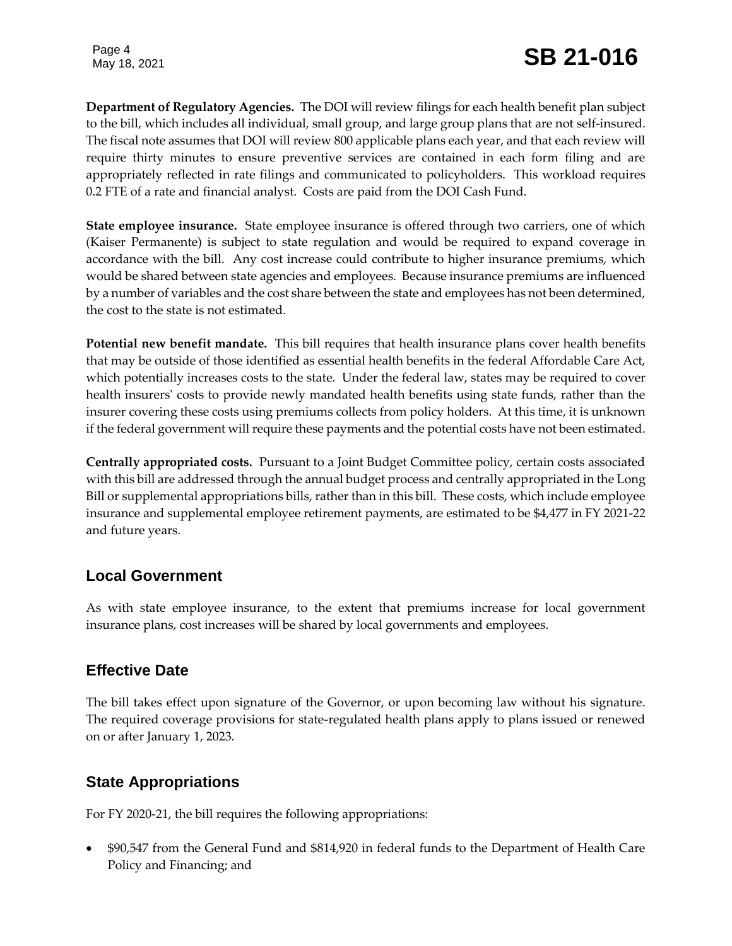Page 4

**Department of Regulatory Agencies.** The DOI will review filings for each health benefit plan subject to the bill, which includes all individual, small group, and large group plans that are not self-insured. The fiscal note assumes that DOI will review 800 applicable plans each year, and that each review will require thirty minutes to ensure preventive services are contained in each form filing and are appropriately reflected in rate filings and communicated to policyholders. This workload requires 0.2 FTE of a rate and financial analyst. Costs are paid from the DOI Cash Fund.

**State employee insurance.** State employee insurance is offered through two carriers, one of which (Kaiser Permanente) is subject to state regulation and would be required to expand coverage in accordance with the bill. Any cost increase could contribute to higher insurance premiums, which would be shared between state agencies and employees. Because insurance premiums are influenced by a number of variables and the cost share between the state and employees has not been determined, the cost to the state is not estimated.

**Potential new benefit mandate.** This bill requires that health insurance plans cover health benefits that may be outside of those identified as essential health benefits in the federal Affordable Care Act, which potentially increases costs to the state. Under the federal law, states may be required to cover health insurers' costs to provide newly mandated health benefits using state funds, rather than the insurer covering these costs using premiums collects from policy holders. At this time, it is unknown if the federal government will require these payments and the potential costs have not been estimated.

**Centrally appropriated costs.** Pursuant to a Joint Budget Committee policy, certain costs associated with this bill are addressed through the annual budget process and centrally appropriated in the Long Bill or supplemental appropriations bills, rather than in this bill. These costs, which include employee insurance and supplemental employee retirement payments, are estimated to be \$4,477 in FY 2021-22 and future years.

## **Local Government**

As with state employee insurance, to the extent that premiums increase for local government insurance plans, cost increases will be shared by local governments and employees.

## **Effective Date**

The bill takes effect upon signature of the Governor, or upon becoming law without his signature. The required coverage provisions for state-regulated health plans apply to plans issued or renewed on or after January 1, 2023.

## **State Appropriations**

For FY 2020-21, the bill requires the following appropriations:

 \$90,547 from the General Fund and \$814,920 in federal funds to the Department of Health Care Policy and Financing; and